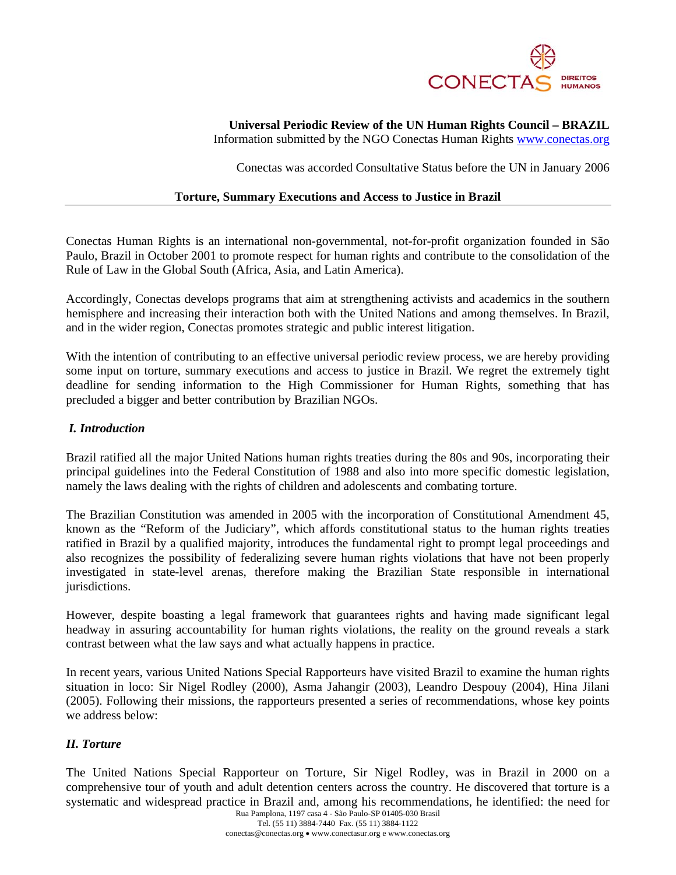

# **Universal Periodic Review of the UN Human Rights Council – BRAZIL**

Information submitted by the NGO Conectas Human Rights www.conectas.org

Conectas was accorded Consultative Status before the UN in January 2006

#### **Torture, Summary Executions and Access to Justice in Brazil**

Conectas Human Rights is an international non-governmental, not-for-profit organization founded in São Paulo, Brazil in October 2001 to promote respect for human rights and contribute to the consolidation of the Rule of Law in the Global South (Africa, Asia, and Latin America).

Accordingly, Conectas develops programs that aim at strengthening activists and academics in the southern hemisphere and increasing their interaction both with the United Nations and among themselves. In Brazil, and in the wider region, Conectas promotes strategic and public interest litigation.

With the intention of contributing to an effective universal periodic review process, we are hereby providing some input on torture, summary executions and access to justice in Brazil. We regret the extremely tight deadline for sending information to the High Commissioner for Human Rights, something that has precluded a bigger and better contribution by Brazilian NGOs.

### *I. Introduction*

Brazil ratified all the major United Nations human rights treaties during the 80s and 90s, incorporating their principal guidelines into the Federal Constitution of 1988 and also into more specific domestic legislation, namely the laws dealing with the rights of children and adolescents and combating torture.

The Brazilian Constitution was amended in 2005 with the incorporation of Constitutional Amendment 45, known as the "Reform of the Judiciary", which affords constitutional status to the human rights treaties ratified in Brazil by a qualified majority, introduces the fundamental right to prompt legal proceedings and also recognizes the possibility of federalizing severe human rights violations that have not been properly investigated in state-level arenas, therefore making the Brazilian State responsible in international jurisdictions.

However, despite boasting a legal framework that guarantees rights and having made significant legal headway in assuring accountability for human rights violations, the reality on the ground reveals a stark contrast between what the law says and what actually happens in practice.

In recent years, various United Nations Special Rapporteurs have visited Brazil to examine the human rights situation in loco: Sir Nigel Rodley (2000), Asma Jahangir (2003), Leandro Despouy (2004), Hina Jilani (2005). Following their missions, the rapporteurs presented a series of recommendations, whose key points we address below:

## *II. Torture*

The United Nations Special Rapporteur on Torture, Sir Nigel Rodley, was in Brazil in 2000 on a comprehensive tour of youth and adult detention centers across the country. He discovered that torture is a systematic and widespread practice in Brazil and, among his recommendations, he identified: the need for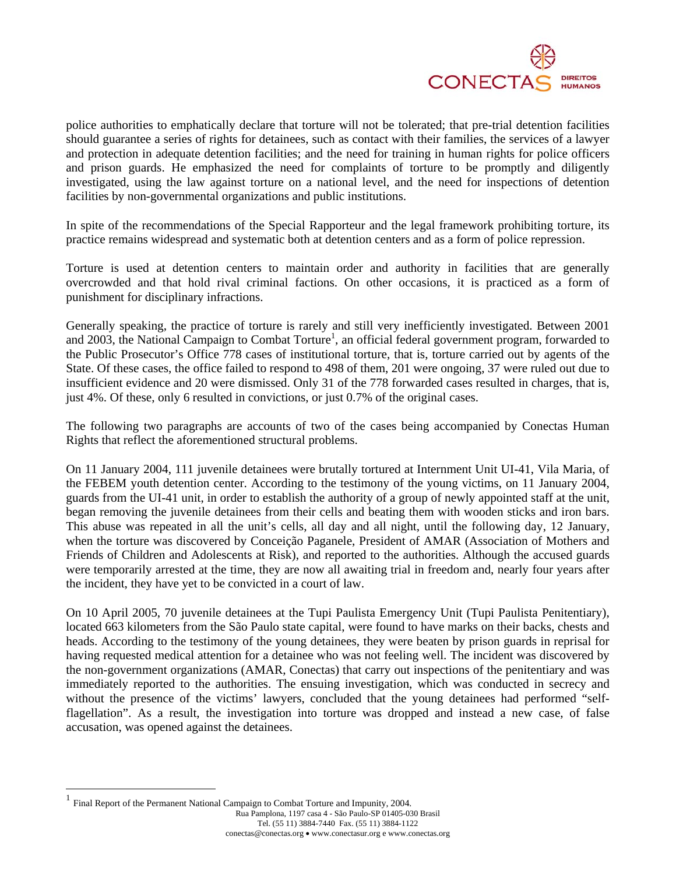

police authorities to emphatically declare that torture will not be tolerated; that pre-trial detention facilities should guarantee a series of rights for detainees, such as contact with their families, the services of a lawyer and protection in adequate detention facilities; and the need for training in human rights for police officers and prison guards. He emphasized the need for complaints of torture to be promptly and diligently investigated, using the law against torture on a national level, and the need for inspections of detention facilities by non-governmental organizations and public institutions.

In spite of the recommendations of the Special Rapporteur and the legal framework prohibiting torture, its practice remains widespread and systematic both at detention centers and as a form of police repression.

Torture is used at detention centers to maintain order and authority in facilities that are generally overcrowded and that hold rival criminal factions. On other occasions, it is practiced as a form of punishment for disciplinary infractions.

Generally speaking, the practice of torture is rarely and still very inefficiently investigated. Between 2001 and 2003, the National Campaign to Combat Torture<sup>1</sup>, an official federal government program, forwarded to the Public Prosecutor's Office 778 cases of institutional torture, that is, torture carried out by agents of the State. Of these cases, the office failed to respond to 498 of them, 201 were ongoing, 37 were ruled out due to insufficient evidence and 20 were dismissed. Only 31 of the 778 forwarded cases resulted in charges, that is, just 4%. Of these, only 6 resulted in convictions, or just 0.7% of the original cases.

The following two paragraphs are accounts of two of the cases being accompanied by Conectas Human Rights that reflect the aforementioned structural problems.

On 11 January 2004, 111 juvenile detainees were brutally tortured at Internment Unit UI-41, Vila Maria, of the FEBEM youth detention center. According to the testimony of the young victims, on 11 January 2004, guards from the UI-41 unit, in order to establish the authority of a group of newly appointed staff at the unit, began removing the juvenile detainees from their cells and beating them with wooden sticks and iron bars. This abuse was repeated in all the unit's cells, all day and all night, until the following day, 12 January, when the torture was discovered by Conceição Paganele, President of AMAR (Association of Mothers and Friends of Children and Adolescents at Risk), and reported to the authorities. Although the accused guards were temporarily arrested at the time, they are now all awaiting trial in freedom and, nearly four years after the incident, they have yet to be convicted in a court of law.

On 10 April 2005, 70 juvenile detainees at the Tupi Paulista Emergency Unit (Tupi Paulista Penitentiary), located 663 kilometers from the São Paulo state capital, were found to have marks on their backs, chests and heads. According to the testimony of the young detainees, they were beaten by prison guards in reprisal for having requested medical attention for a detainee who was not feeling well. The incident was discovered by the non-government organizations (AMAR, Conectas) that carry out inspections of the penitentiary and was immediately reported to the authorities. The ensuing investigation, which was conducted in secrecy and without the presence of the victims' lawyers, concluded that the young detainees had performed "selfflagellation". As a result, the investigation into torture was dropped and instead a new case, of false accusation, was opened against the detainees.

 $\overline{a}$ 

Rua Pamplona, 1197 casa 4 - São Paulo-SP 01405-030 Brasil Tel. (55 11) 3884-7440 Fax. (55 11) 3884-1122 conectas@conectas.org • www.conectasur.org e www.conectas.org Final Report of the Permanent National Campaign to Combat Torture and Impunity, 2004.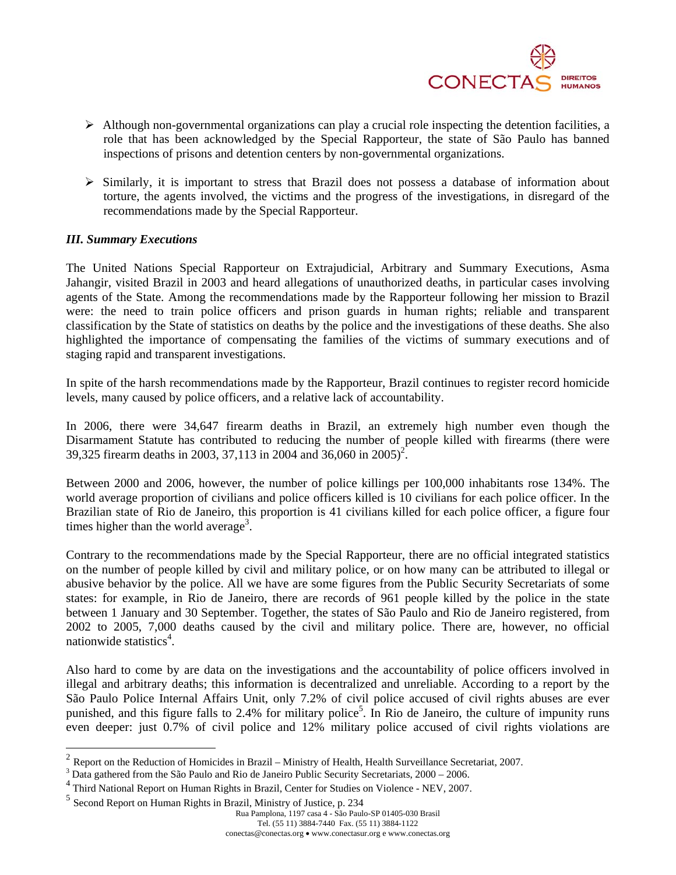

- $\triangleright$  Although non-governmental organizations can play a crucial role inspecting the detention facilities, a role that has been acknowledged by the Special Rapporteur, the state of São Paulo has banned inspections of prisons and detention centers by non-governmental organizations.
- ¾ Similarly, it is important to stress that Brazil does not possess a database of information about torture, the agents involved, the victims and the progress of the investigations, in disregard of the recommendations made by the Special Rapporteur.

#### *III. Summary Executions*

 $\overline{a}$ 

The United Nations Special Rapporteur on Extrajudicial, Arbitrary and Summary Executions, Asma Jahangir, visited Brazil in 2003 and heard allegations of unauthorized deaths, in particular cases involving agents of the State. Among the recommendations made by the Rapporteur following her mission to Brazil were: the need to train police officers and prison guards in human rights; reliable and transparent classification by the State of statistics on deaths by the police and the investigations of these deaths. She also highlighted the importance of compensating the families of the victims of summary executions and of staging rapid and transparent investigations.

In spite of the harsh recommendations made by the Rapporteur, Brazil continues to register record homicide levels, many caused by police officers, and a relative lack of accountability.

In 2006, there were 34,647 firearm deaths in Brazil, an extremely high number even though the Disarmament Statute has contributed to reducing the number of people killed with firearms (there were 39,325 firearm deaths in 2003, 37,113 in 2004 and 36,060 in 2005)<sup>2</sup>.

Between 2000 and 2006, however, the number of police killings per 100,000 inhabitants rose 134%. The world average proportion of civilians and police officers killed is 10 civilians for each police officer. In the Brazilian state of Rio de Janeiro, this proportion is 41 civilians killed for each police officer, a figure four times higher than the world average<sup>3</sup>.

Contrary to the recommendations made by the Special Rapporteur, there are no official integrated statistics on the number of people killed by civil and military police, or on how many can be attributed to illegal or abusive behavior by the police. All we have are some figures from the Public Security Secretariats of some states: for example, in Rio de Janeiro, there are records of 961 people killed by the police in the state between 1 January and 30 September. Together, the states of São Paulo and Rio de Janeiro registered, from 2002 to 2005, 7,000 deaths caused by the civil and military police. There are, however, no official nationwide statistics<sup>4</sup>.

Also hard to come by are data on the investigations and the accountability of police officers involved in illegal and arbitrary deaths; this information is decentralized and unreliable. According to a report by the São Paulo Police Internal Affairs Unit, only 7.2% of civil police accused of civil rights abuses are ever punished, and this figure falls to 2.4% for military police<sup>5</sup>. In Rio de Janeiro, the culture of impunity runs even deeper: just 0.7% of civil police and 12% military police accused of civil rights violations are

 $2 \text{ Report on the Reduction of Homicides in Brazil - Ministry of Health, Health Survey of Search Science Secretariat, 2007.}$ 

<sup>&</sup>lt;sup>3</sup> Data gathered from the São Paulo and Rio de Janeiro Public Security Secretariats, 2000 – 2006.

Third National Report on Human Rights in Brazil, Center for Studies on Violence - NEV, 2007.

<sup>5</sup> Second Report on Human Rights in Brazil, Ministry of Justice, p. 234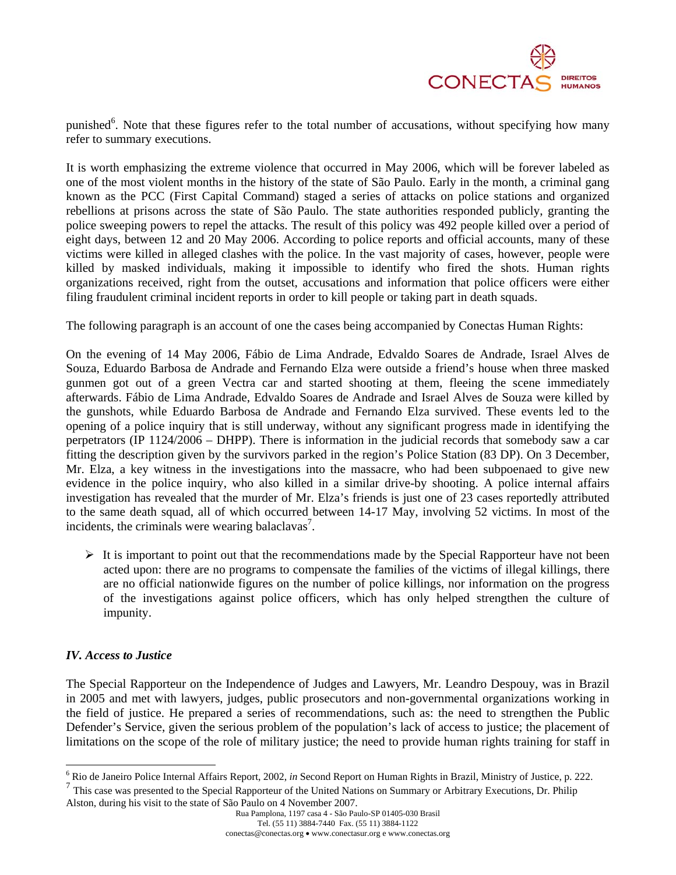

punished<sup>6</sup>. Note that these figures refer to the total number of accusations, without specifying how many refer to summary executions.

It is worth emphasizing the extreme violence that occurred in May 2006, which will be forever labeled as one of the most violent months in the history of the state of São Paulo. Early in the month, a criminal gang known as the PCC (First Capital Command) staged a series of attacks on police stations and organized rebellions at prisons across the state of São Paulo. The state authorities responded publicly, granting the police sweeping powers to repel the attacks. The result of this policy was 492 people killed over a period of eight days, between 12 and 20 May 2006. According to police reports and official accounts, many of these victims were killed in alleged clashes with the police. In the vast majority of cases, however, people were killed by masked individuals, making it impossible to identify who fired the shots. Human rights organizations received, right from the outset, accusations and information that police officers were either filing fraudulent criminal incident reports in order to kill people or taking part in death squads.

The following paragraph is an account of one the cases being accompanied by Conectas Human Rights:

On the evening of 14 May 2006, Fábio de Lima Andrade, Edvaldo Soares de Andrade, Israel Alves de Souza, Eduardo Barbosa de Andrade and Fernando Elza were outside a friend's house when three masked gunmen got out of a green Vectra car and started shooting at them, fleeing the scene immediately afterwards. Fábio de Lima Andrade, Edvaldo Soares de Andrade and Israel Alves de Souza were killed by the gunshots, while Eduardo Barbosa de Andrade and Fernando Elza survived. These events led to the opening of a police inquiry that is still underway, without any significant progress made in identifying the perpetrators (IP 1124/2006 – DHPP). There is information in the judicial records that somebody saw a car fitting the description given by the survivors parked in the region's Police Station (83 DP). On 3 December, Mr. Elza, a key witness in the investigations into the massacre, who had been subpoenaed to give new evidence in the police inquiry, who also killed in a similar drive-by shooting. A police internal affairs investigation has revealed that the murder of Mr. Elza's friends is just one of 23 cases reportedly attributed to the same death squad, all of which occurred between 14-17 May, involving 52 victims. In most of the incidents, the criminals were wearing balaclavas<sup>7</sup>.

 $\triangleright$  It is important to point out that the recommendations made by the Special Rapporteur have not been acted upon: there are no programs to compensate the families of the victims of illegal killings, there are no official nationwide figures on the number of police killings, nor information on the progress of the investigations against police officers, which has only helped strengthen the culture of impunity.

## *IV. Access to Justice*

The Special Rapporteur on the Independence of Judges and Lawyers, Mr. Leandro Despouy, was in Brazil in 2005 and met with lawyers, judges, public prosecutors and non-governmental organizations working in the field of justice. He prepared a series of recommendations, such as: the need to strengthen the Public Defender's Service, given the serious problem of the population's lack of access to justice; the placement of limitations on the scope of the role of military justice; the need to provide human rights training for staff in

<sup>7</sup> This case was presented to the Special Rapporteur of the United Nations on Summary or Arbitrary Executions, Dr. Philip Alston, during his visit to the state of São Paulo on 4 November 2007.

 6 Rio de Janeiro Police Internal Affairs Report, 2002, *in* Second Report on Human Rights in Brazil, Ministry of Justice, p. 222.